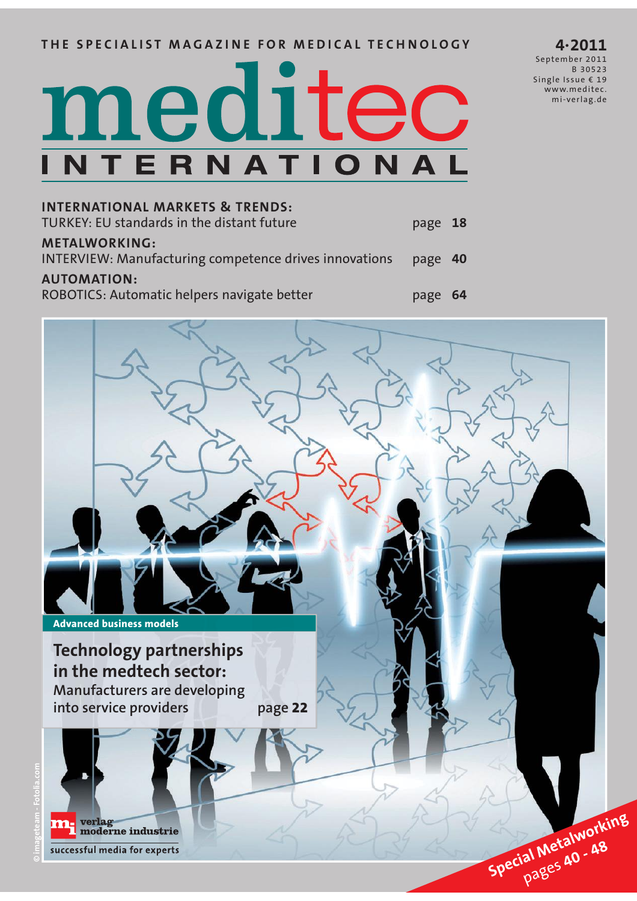# **THE SPECIALIST MAGAZINE FOR MEDICAL TECHNOLOGY**

# meditec NTERNATIO

**INTERNATIONAL MARKETS & TRENDS:** TURKEY: EU standards in the distant future page **18 METALWORKING:** INTERVIEW: Manufacturing competence drives innovations page **40 AUTOMATION:**  ROBOTICS: Automatic helpers navigate better **page 64** 



**4·2011** September 2011 B 30523 Single Issue € 19 www.meditec. mi-verlag .de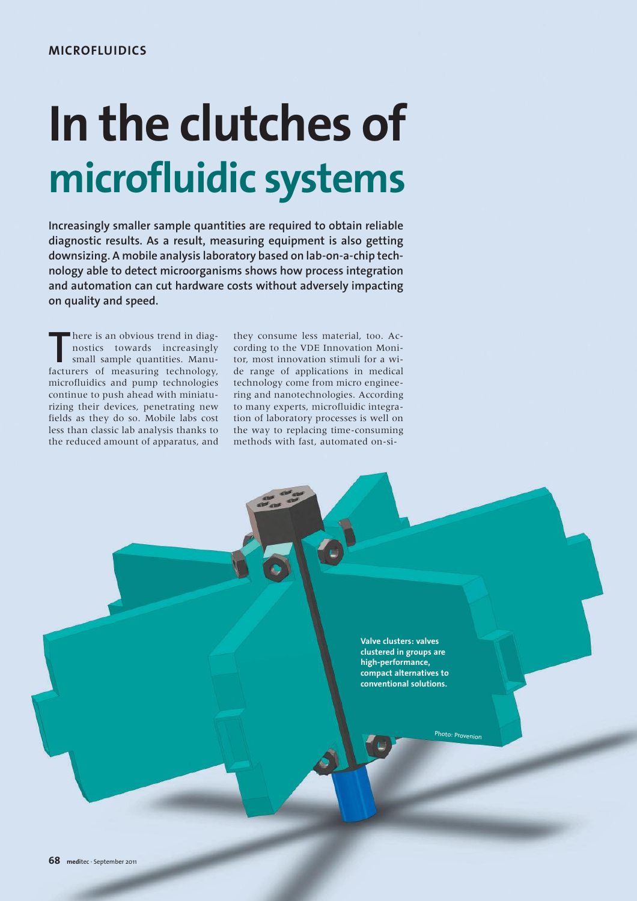# **In the clutches of microfluidic systems**

**Increasingly smaller sample quantities are required to obtain reliable diagnostic results. As a result, measuring equipment is also getting downsizing. A mobile analysis laboratory based on lab-on-a-chip technology able to detect microorganisms shows how process integration and automation can cut hardware costs without adversely impacting on quality and speed.**

There is an obvious trend in diagnostics towards increasingly small sample quantities. Manufacturers of measuring technology, here is an obvious trend in diagnostics towards increasingly small sample quantities. Manumicrofluidics and pump technologies continue to push ahead with miniaturizing their devices, penetrating new fields as they do so. Mobile labs cost less than classic lab analysis thanks to the reduced amount of apparatus, and

they consume less material, too. According to the VDE Innovation Monitor, most innovation stimuli for a wide range of applications in medical technology come from micro engineering and nanotechnologies. According to many experts, microfluidic integration of laboratory processes is well on the way to replacing time-consuming methods with fast, automated on-si-

> **Valve clusters: valves clustered in groups are high-performance, compact alternatives to conventional solutions.**

> > Photo:  $p_{rc}$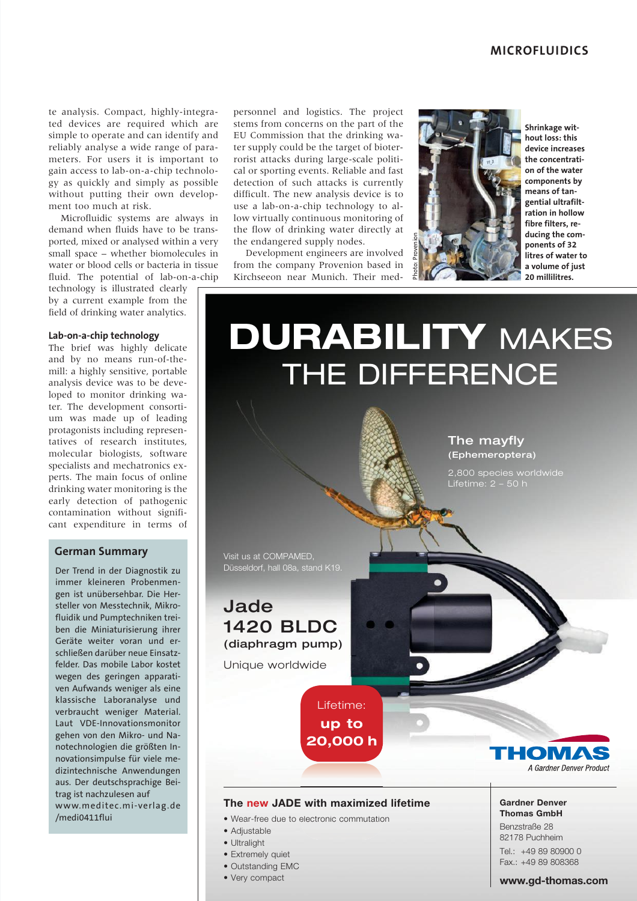te analysis. Compact, highly-integrated devices are required which are simple to operate and can identify and reliably analyse a wide range of parameters. For users it is important to gain access to lab-on-a-chip technology as quickly and simply as possible without putting their own development too much at risk.

Microfluidic systems are always in demand when fluids have to be transported, mixed or analysed within a very small space – whether biomolecules in water or blood cells or bacteria in tissue fluid. The potential of lab-on-a-chip

technology is illustrated clearly by a current example from the field of drinking water analytics.

#### Lab-on-a-chip technology

The brief was highly delicate and by no means run-of-themill: a highly sensitive, portable analysis device was to be developed to monitor drinking water. The development consortium was made up of leading protagonists including representatives of research institutes. molecular biologists, software specialists and mechatronics experts. The main focus of online drinking water monitoring is the early detection of pathogenic contamination without significant expenditure in terms of

## **German Summary**

Der Trend in der Diagnostik zu immer kleineren Probenmengen ist unübersehbar. Die Hersteller von Messtechnik, Mikrofluidik und Pumptechniken treiben die Miniaturisierung ihrer Geräte weiter voran und erschließen darüber neue Einsatzfelder. Das mobile Labor kostet wegen des geringen apparativen Aufwands weniger als eine klassische Laboranalyse und verbraucht weniger Material. Laut VDE-Innovationsmonitor gehen von den Mikro- und Nanotechnologien die größten Innovationsimpulse für viele medizintechnische Anwendungen aus. Der deutschsprachige Beitrag ist nachzulesen auf www.meditec.mi-verlag.de /medi0411flui

personnel and logistics. The project stems from concerns on the part of the EU Commission that the drinking water supply could be the target of bioterrorist attacks during large-scale political or sporting events. Reliable and fast detection of such attacks is currently difficult. The new analysis device is to use a lab-on-a-chip technology to allow virtually continuous monitoring of the flow of drinking water directly at the endangered supply nodes.

Development engineers are involved from the company Provenion based in Kirchseeon near Munich. Their med-



Shrinkage without loss: this device increases the concentration of the water components by means of tangential ultrafiltration in hollow fibre filters, reducing the comnonents of 32 .<br>litres of water to a volume of just 20 millilitres.

# **DURABILITY MAKES** THE DIFFERENCE

The mayfly (Ephemeroptera)

2.800 species worldwide Lifetime:  $2 - 50$  h

Visit us at COMPAMED. Düsseldorf, hall 08a, stand K19.

# Jade **1420 BLDC** (diaphragm pump)

Unique worldwide

Lifetime: up to 20,000 h



## The new JADE with maximized lifetime

- Wear-free due to electronic commutation
- Adjustable
- · Ultralight
- · Extremely quiet
- · Outstanding EMC
- Very compact

#### **Gardner Denver** Thomas GmhH

Benzstraße 28 82178 Puchheim Tel.: +49 89 80900 0 Fax.: +49 89 808368

#### www.ad-thomas.com